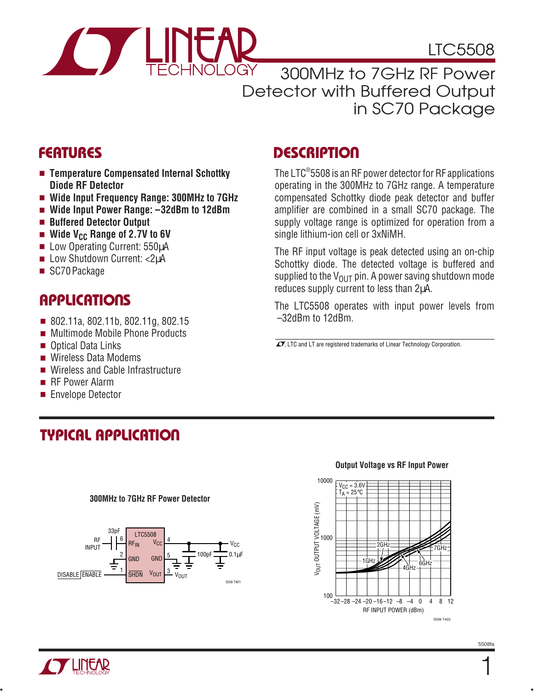

LTC5508

### 300MHz to 7GHz RF Power Detector with Buffered Output in SC70 Package

- **Temperature Compensated Internal Schottky Diode RF Detector**
- **Wide Input Frequency Range: 300MHz to 7GHz**
- **Wide Input Power Range: –32dBm to 12dBm**
- **Buffered Detector Output**
- Wide V<sub>CC</sub> Range of 2.7V to 6V
- Low Operating Current: 550uA
- Low Shutdown Current: <2µA
- SC70 Package

# **APPLICATIONS**

- 802.11a, 802.11b, 802.11g, 802.15
- Multimode Mobile Phone Products
- Optical Data Links
- Wireless Data Modems
- Wireless and Cable Infrastructure
- RF Power Alarm
- Envelope Detector

# **TYPICAL APPLICATION**

#### **300MHz to 7GHz RF Power Detector**



#### **FEATURES DESCRIPTIO U**

The LTC® 5508 is an RF power detector for RF applications operating in the 300MHz to 7GHz range. A temperature compensated Schottky diode peak detector and buffer amplifier are combined in a small SC70 package. The supply voltage range is optimized for operation from a single lithium-ion cell or 3xNiMH.

The RF input voltage is peak detected using an on-chip Schottky diode. The detected voltage is buffered and supplied to the  $V_{\text{OUT}}$  pin. A power saving shutdown mode reduces supply current to less than 2µA.

The LTC5508 operates with input power levels from –32dBm to 12dBm.

 $\sqrt{7}$ , LTC and LT are registered trademarks of Linear Technology Corporation.



#### **Output Voltage vs RF Input Power**

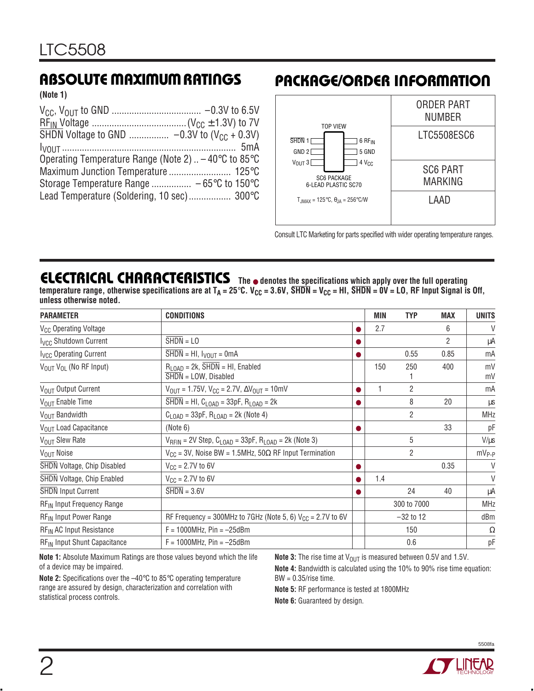**(Note 1)**

| Operating Temperature Range (Note 2) $\dots$ –40 $\degree$ C to 85 $\degree$ C |  |
|--------------------------------------------------------------------------------|--|
|                                                                                |  |
|                                                                                |  |
| Lead Temperature (Soldering, 10 sec) 300°C                                     |  |

### **ABSOLUTE MAXIMUM RATINGS PACKAGE/ORDER INFORMATION**



Consult LTC Marketing for parts specified with wider operating temperature ranges.

#### **ELECTRICAL CHARACTERISTICS The** ● **denotes the specifications which apply over the full operating** temperature range, otherwise specifications are at T<sub>A</sub> = 25°C. V<sub>CC</sub> = 3.6V, SHDN = V<sub>CC</sub> = HI, SHDN = 0V = LO, RF Input Signal is Off, **unless otherwise noted.**

| <b>PARAMETER</b>                         | <b>CONDITIONS</b>                                                                   |             | MIN | <b>TYP</b>     | <b>MAX</b>     | <b>UNITS</b> |
|------------------------------------------|-------------------------------------------------------------------------------------|-------------|-----|----------------|----------------|--------------|
| V <sub>CC</sub> Operating Voltage        |                                                                                     | ●           | 2.7 |                | 6              | $\vee$       |
| <b>Ivcc Shutdown Current</b>             | $SHDN = LO$                                                                         | ●           |     |                | $\overline{2}$ | μA           |
| <b>Ivcc Operating Current</b>            | $SHDN = HI$ , $I_{VOUT} = 0mA$                                                      |             |     | 0.55           | 0.85           | mA           |
| VOUT VOL (No RF Input)                   | $R_{\text{LOAD}}$ = 2k, SHDN = HI, Enabled<br>$SHDN = LOW$ , Disabled               |             | 150 | 250            | 400            | mV<br>mV     |
| V <sub>OUT</sub> Output Current          | $V_{\text{OUT}} = 1.75V$ , $V_{\text{CC}} = 2.7V$ , $\Delta V_{\text{OUT}} = 10$ mV | 0           | 1   | $\overline{2}$ |                | mA           |
| V <sub>OUT</sub> Enable Time             | SHDN = HI, $C_{\text{LOAD}}$ = 33pF, $R_{\text{LOAD}}$ = 2k                         | O           |     | 8              | 20             | μS           |
| V <sub>OUT</sub> Bandwidth               | $C_{\text{LOAD}} = 33pF$ , $R_{\text{LOAD}} = 2k$ (Note 4)                          |             |     | $\overline{2}$ |                | <b>MHz</b>   |
| V <sub>OUT</sub> Load Capacitance        | (Note 6)                                                                            | O           |     |                | 33             | pF           |
| V <sub>OUT</sub> Slew Rate               | $V_{RFIN}$ = 2V Step, $C_{LOAD}$ = 33pF, $R_{LOAD}$ = 2k (Note 3)                   |             |     | 5              |                | $V/\mu s$    |
| V <sub>OUT</sub> Noise                   | $V_{CC}$ = 3V, Noise BW = 1.5MHz, 50 $\Omega$ RF Input Termination                  |             |     | $\overline{2}$ |                | $mV_{P-P}$   |
| <b>SHDN</b> Voltage, Chip Disabled       | $V_{CC} = 2.7V$ to 6V                                                               |             |     |                | 0.35           | $\vee$       |
| <b>SHDN</b> Voltage, Chip Enabled        | $V_{CC} = 2.7V$ to 6V                                                               | o           | 1.4 |                |                | V            |
| <b>SHDN</b> Input Current                | $SHDN = 3.6V$                                                                       |             |     | 24             | 40             | μA           |
| RF <sub>IN</sub> Input Frequency Range   |                                                                                     |             |     | 300 to 7000    |                | <b>MHz</b>   |
| RF <sub>IN</sub> Input Power Range       | RF Frequency = 300MHz to 7GHz (Note 5, 6) $V_{CC}$ = 2.7V to 6V                     | $-32$ to 12 |     | dBm            |                |              |
| RF <sub>IN</sub> AC Input Resistance     | $F = 1000 MHz$ , Pin = -25dBm                                                       |             |     | 150            |                | Ω            |
| RF <sub>IN</sub> Input Shunt Capacitance | $F = 1000$ MHz, Pin = $-25$ dBm                                                     |             |     | 0.6            |                | рF           |

**Note 1:** Absolute Maximum Ratings are those values beyond which the life of a device may be impaired.

**Note 2:** Specifications over the –40°C to 85°C operating temperature range are assured by design, characterization and correlation with statistical process controls.

**Note 3:** The rise time at V<sub>OUT</sub> is measured between 0.5V and 1.5V.

**Note 4:** Bandwidth is calculated using the 10% to 90% rise time equation: BW = 0.35/rise time.

**Note 5:** RF performance is tested at 1800MHz

**Note 6:** Guaranteed by design.

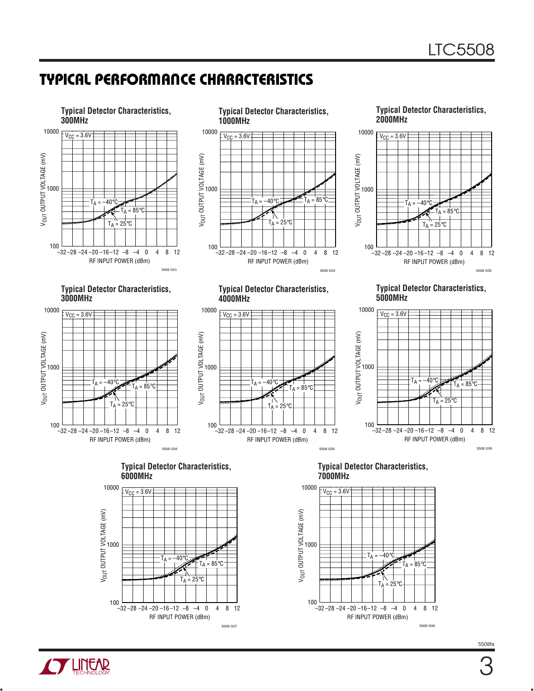## **TYPICAL PERFORMANCE CHARACTERISTICS**

RF INPUT POWER (dBm)

–32 –28 –24 –20 –16–12 –8 –4 0 8 4 12

 $\overline{40}$ 

 $T_A = 25^{\circ}C$ 

5508 G07

 $T_A = 85^{\circ}$ C





 $\frac{100}{1}$ 

5508fa

RF INPUT POWER (dBm)

–32 –28 –24 –20 –16–12 –8 –4 0 8 4 12

**25** 

 $40^{\circ}$ 

100

5508 G08

 $\mathsf{L} = 85$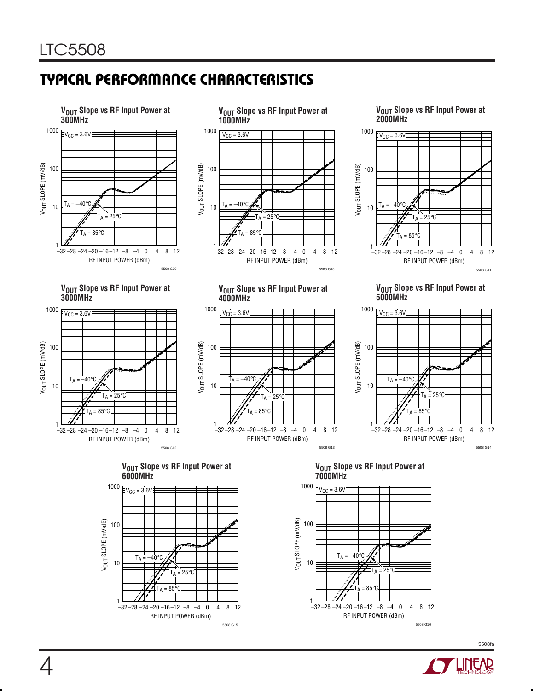# **TYPICAL PERFORMANCE CHARACTERISTICS**







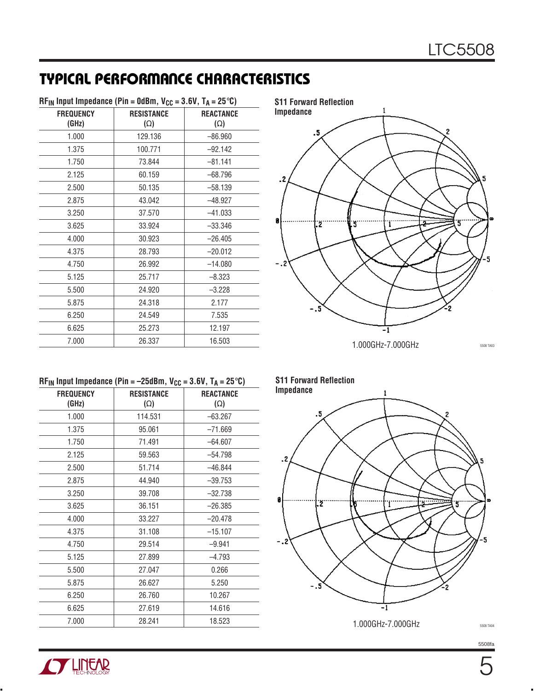# **TYPICAL PERFORMANCE CHARACTERISTICS**

| $RF_{IN}$ Input Impedance (Pin = 0dBm, V <sub>CC</sub> = 3.6V, T <sub>A</sub> = 25°C) |                                 |                                |
|---------------------------------------------------------------------------------------|---------------------------------|--------------------------------|
| <b>FREQUENCY</b><br>(GHz)                                                             | <b>RESISTANCE</b><br>$(\Omega)$ | <b>REACTANCE</b><br>$(\Omega)$ |
| 1.000                                                                                 | 129.136                         | $-86.960$                      |
| 1.375                                                                                 | 100.771                         | $-92.142$                      |
| 1.750                                                                                 | 73.844                          | $-81.141$                      |
| 2.125                                                                                 | 60.159                          | $-68.796$                      |
| 2.500                                                                                 | 50.135                          | $-58.139$                      |
| 2.875                                                                                 | 43.042                          | $-48.927$                      |
| 3.250                                                                                 | 37.570                          | $-41.033$                      |
| 3.625                                                                                 | 33.924                          | $-33.346$                      |
| 4.000                                                                                 | 30.923                          | $-26.405$                      |
| 4.375                                                                                 | 28.793                          | $-20.012$                      |
| 4.750                                                                                 | 26.992                          | $-14.080$                      |
| 5.125                                                                                 | 25.717                          | $-8.323$                       |
| 5.500                                                                                 | 24.920                          | $-3.228$                       |
| 5.875                                                                                 | 24.318                          | 2.177                          |
| 6.250                                                                                 | 24.549                          | 7.535                          |
| 6.625                                                                                 | 25.273                          | 12.197                         |
| 7.000                                                                                 | 26.337                          | 16.503                         |

| IN bac boaanoo (.  - coap; * <sub>UU</sub> |                                 | $-$ 0.0 $, +$ $+$ $ -$ 0 $,$   |
|--------------------------------------------|---------------------------------|--------------------------------|
| <b>FREQUENCY</b><br>(GHz)                  | <b>RESISTANCE</b><br>$(\Omega)$ | <b>REACTANCE</b><br>$(\Omega)$ |
| 1.000                                      | 114.531                         | $-63.267$                      |
| 1.375                                      | 95.061                          | $-71.669$                      |
| 1.750                                      | 71.491                          | $-64.607$                      |
| 2.125                                      | 59.563                          | $-54.798$                      |
| 2.500                                      | 51.714                          | $-46.844$                      |
| 2.875                                      | 44.940                          | $-39.753$                      |
| 3.250                                      | 39.708                          | $-32.738$                      |
| 3.625                                      | 36.151                          | $-26.385$                      |
| 4.000                                      | 33.227                          | $-20.478$                      |
| 4.375                                      | 31.108                          | $-15.107$                      |
| 4.750                                      | 29.514                          | $-9.941$                       |
| 5.125                                      | 27.899                          | $-4.793$                       |
| 5.500                                      | 27.047                          | 0.266                          |
| 5.875                                      | 26.627                          | 5.250                          |
| 6.250                                      | 26.760                          | 10.267                         |
| 6.625                                      | 27.619                          | 14.616                         |
| 7.000                                      | 28.241                          | 18.523                         |
|                                            |                                 |                                |



**S11 Forward Reflection**



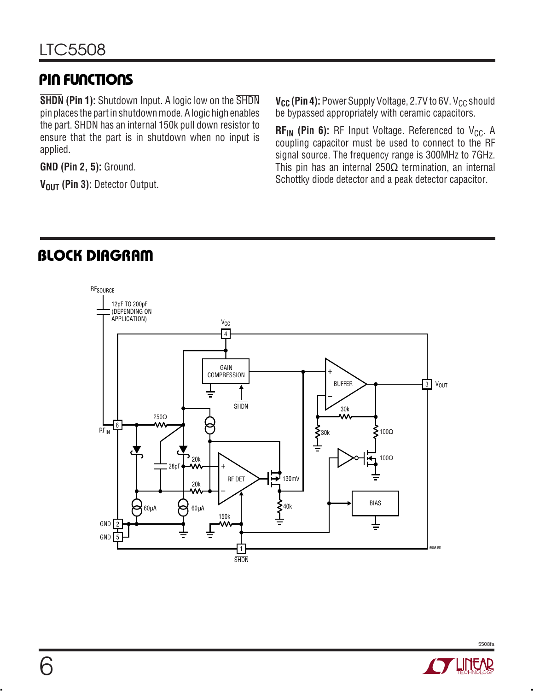# **PIN FUNCTIONS**

**SHDN (Pin 1):** Shutdown Input. A logic low on the SHDN pin places the part in shutdown mode. A logic high enables the part. SHDN has an internal 150k pull down resistor to ensure that the part is in shutdown when no input is applied.

**GND (Pin 2, 5):** Ground.

V<sub>OUT</sub> (Pin 3): Detector Output.

**V<sub>CC</sub>** (Pin 4): Power Supply Voltage, 2.7V to 6V. V<sub>CC</sub> should be bypassed appropriately with ceramic capacitors.

 $\mathsf{RF_{IN}}$  (**Pin 6):** RF Input Voltage. Referenced to V<sub>CC</sub>. A coupling capacitor must be used to connect to the RF signal source. The frequency range is 300MHz to 7GHz. This pin has an internal  $250\Omega$  termination, an internal Schottky diode detector and a peak detector capacitor.

# **BLOCK DIAGRAM**



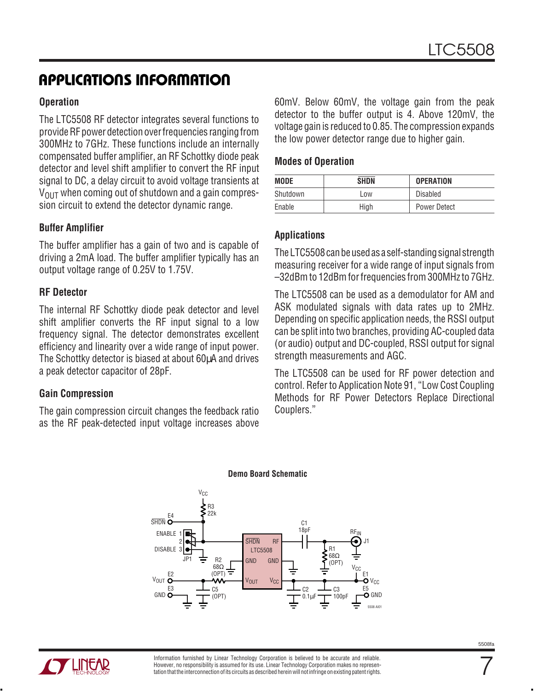### **APPLICATIONS INFORMATION**

#### **Operation**

The LTC5508 RF detector integrates several functions to provide RF power detection over frequencies ranging from 300MHz to 7GHz. These functions include an internally compensated buffer amplifier, an RF Schottky diode peak detector and level shift amplifier to convert the RF input signal to DC, a delay circuit to avoid voltage transients at  $V_{\text{OUT}}$  when coming out of shutdown and a gain compression circuit to extend the detector dynamic range.

#### **Buffer Amplifier**

The buffer amplifier has a gain of two and is capable of driving a 2mA load. The buffer amplifier typically has an output voltage range of 0.25V to 1.75V.

#### **RF Detector**

The internal RF Schottky diode peak detector and level shift amplifier converts the RF input signal to a low frequency signal. The detector demonstrates excellent efficiency and linearity over a wide range of input power. The Schottky detector is biased at about 60µA and drives a peak detector capacitor of 28pF.

#### **Gain Compression**

The gain compression circuit changes the feedback ratio as the RF peak-detected input voltage increases above 60mV. Below 60mV, the voltage gain from the peak detector to the buffer output is 4. Above 120mV, the voltage gain is reduced to 0.85. The compression expands the low power detector range due to higher gain.

#### **Modes of Operation**

| <b>MODE</b> | <b>SHDN</b> | <b>OPERATION</b>    |
|-------------|-------------|---------------------|
| Shutdown    | Low         | Disabled            |
| Enable      | High        | <b>Power Detect</b> |

#### **Applications**

The LTC5508 can be used as a self-standing signal strength measuring receiver for a wide range of input signals from –32dBm to 12dBm for frequencies from 300MHz to 7GHz.

The LTC5508 can be used as a demodulator for AM and ASK modulated signals with data rates up to 2MHz. Depending on specific application needs, the RSSI output can be split into two branches, providing AC-coupled data (or audio) output and DC-coupled, RSSI output for signal strength measurements and AGC.

The LTC5508 can be used for RF power detection and control. Refer to Application Note 91, "Low Cost Coupling Methods for RF Power Detectors Replace Directional Couplers."



#### **Demo Board Schematic**



7